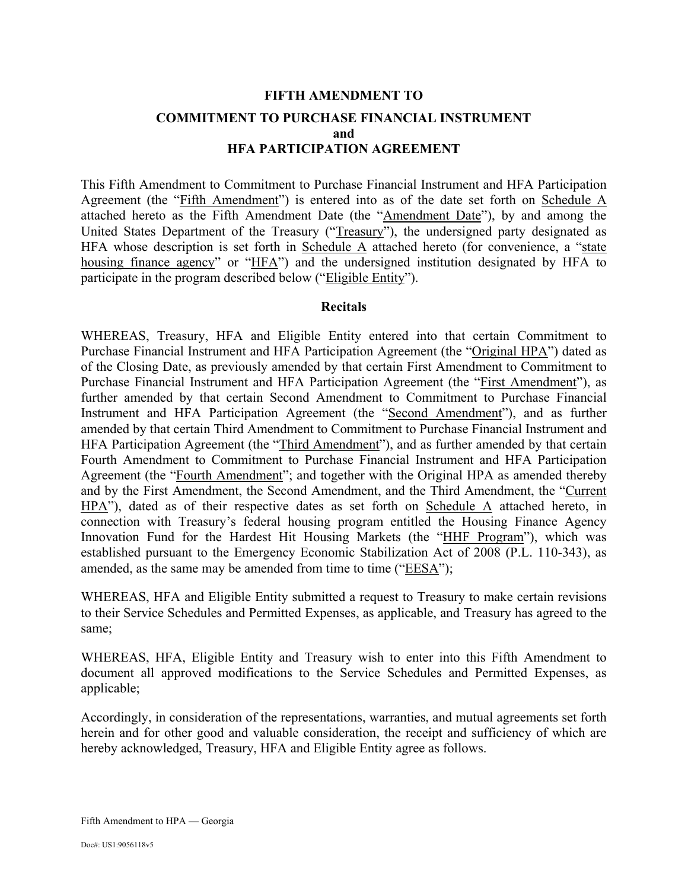# **FIFTH AMENDMENT TO COMMITMENT TO PURCHASE FINANCIAL INSTRUMENT and HFA PARTICIPATION AGREEMENT**

This Fifth Amendment to Commitment to Purchase Financial Instrument and HFA Participation Agreement (the "Fifth Amendment") is entered into as of the date set forth on Schedule A attached hereto as the Fifth Amendment Date (the "Amendment Date"), by and among the United States Department of the Treasury ("Treasury"), the undersigned party designated as HFA whose description is set forth in Schedule  $\overline{A}$  attached hereto (for convenience, a "state housing finance agency" or "HFA") and the undersigned institution designated by HFA to participate in the program described below ("Eligible Entity").

#### **Recitals**

WHEREAS, Treasury, HFA and Eligible Entity entered into that certain Commitment to Purchase Financial Instrument and HFA Participation Agreement (the "Original HPA") dated as of the Closing Date, as previously amended by that certain First Amendment to Commitment to Purchase Financial Instrument and HFA Participation Agreement (the "First Amendment"), as further amended by that certain Second Amendment to Commitment to Purchase Financial Instrument and HFA Participation Agreement (the "Second Amendment"), and as further amended by that certain Third Amendment to Commitment to Purchase Financial Instrument and HFA Participation Agreement (the "Third Amendment"), and as further amended by that certain Fourth Amendment to Commitment to Purchase Financial Instrument and HFA Participation Agreement (the "Fourth Amendment"; and together with the Original HPA as amended thereby and by the First Amendment, the Second Amendment, and the Third Amendment, the "Current HPA"), dated as of their respective dates as set forth on Schedule A attached hereto, in connection with Treasury's federal housing program entitled the Housing Finance Agency Innovation Fund for the Hardest Hit Housing Markets (the "HHF Program"), which was established pursuant to the Emergency Economic Stabilization Act of 2008 (P.L. 110-343), as amended, as the same may be amended from time to time ("EESA");

WHEREAS, HFA and Eligible Entity submitted a request to Treasury to make certain revisions to their Service Schedules and Permitted Expenses, as applicable, and Treasury has agreed to the same;

WHEREAS, HFA, Eligible Entity and Treasury wish to enter into this Fifth Amendment to document all approved modifications to the Service Schedules and Permitted Expenses, as applicable;

Accordingly, in consideration of the representations, warranties, and mutual agreements set forth herein and for other good and valuable consideration, the receipt and sufficiency of which are hereby acknowledged, Treasury, HFA and Eligible Entity agree as follows.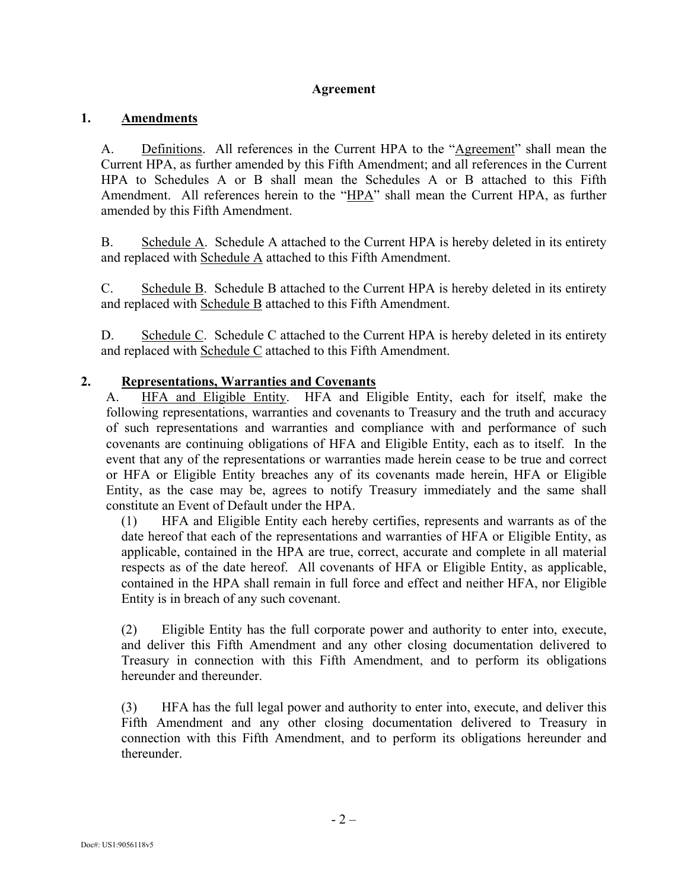#### **Agreement**

#### **1. Amendments**

A. Definitions. All references in the Current HPA to the "Agreement" shall mean the Current HPA, as further amended by this Fifth Amendment; and all references in the Current HPA to Schedules A or B shall mean the Schedules A or B attached to this Fifth Amendment. All references herein to the "HPA" shall mean the Current HPA, as further amended by this Fifth Amendment.

B. Schedule A. Schedule A attached to the Current HPA is hereby deleted in its entirety and replaced with Schedule A attached to this Fifth Amendment.

C. Schedule  $\overline{B}$ . Schedule B attached to the Current HPA is hereby deleted in its entirety and replaced with Schedule B attached to this Fifth Amendment.

D. Schedule C. Schedule C attached to the Current HPA is hereby deleted in its entirety and replaced with Schedule C attached to this Fifth Amendment.

#### **2. Representations, Warranties and Covenants**

A. HFA and Eligible Entity. HFA and Eligible Entity, each for itself, make the following representations, warranties and covenants to Treasury and the truth and accuracy of such representations and warranties and compliance with and performance of such covenants are continuing obligations of HFA and Eligible Entity, each as to itself. In the event that any of the representations or warranties made herein cease to be true and correct or HFA or Eligible Entity breaches any of its covenants made herein, HFA or Eligible Entity, as the case may be, agrees to notify Treasury immediately and the same shall constitute an Event of Default under the HPA.

(1) HFA and Eligible Entity each hereby certifies, represents and warrants as of the date hereof that each of the representations and warranties of HFA or Eligible Entity, as applicable, contained in the HPA are true, correct, accurate and complete in all material respects as of the date hereof. All covenants of HFA or Eligible Entity, as applicable, contained in the HPA shall remain in full force and effect and neither HFA, nor Eligible Entity is in breach of any such covenant.

(2) Eligible Entity has the full corporate power and authority to enter into, execute, and deliver this Fifth Amendment and any other closing documentation delivered to Treasury in connection with this Fifth Amendment, and to perform its obligations hereunder and thereunder.

(3) HFA has the full legal power and authority to enter into, execute, and deliver this Fifth Amendment and any other closing documentation delivered to Treasury in connection with this Fifth Amendment, and to perform its obligations hereunder and thereunder.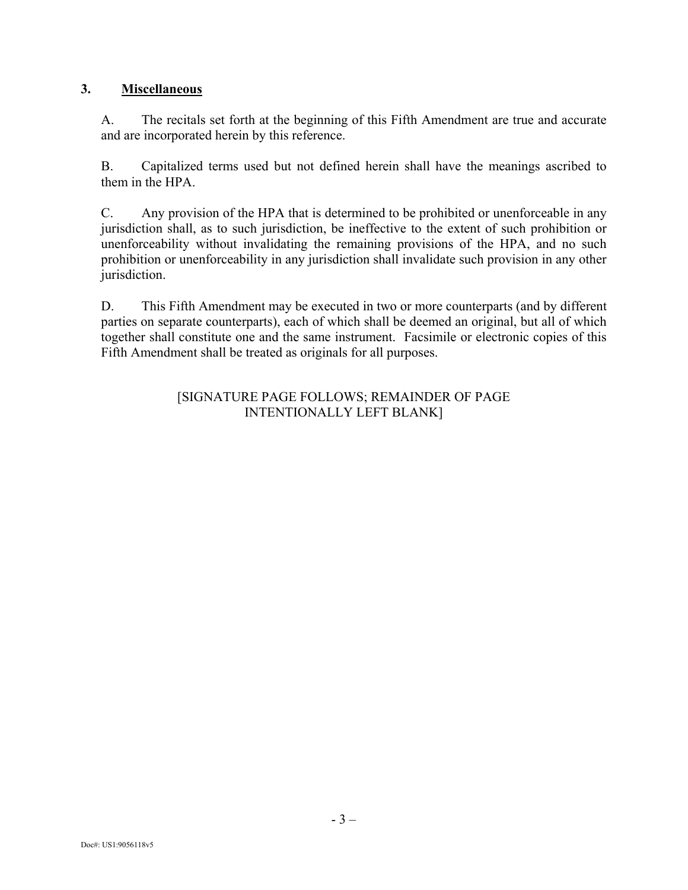### **3. Miscellaneous**

A. The recitals set forth at the beginning of this Fifth Amendment are true and accurate and are incorporated herein by this reference.

B. Capitalized terms used but not defined herein shall have the meanings ascribed to them in the HPA.

C. Any provision of the HPA that is determined to be prohibited or unenforceable in any jurisdiction shall, as to such jurisdiction, be ineffective to the extent of such prohibition or unenforceability without invalidating the remaining provisions of the HPA, and no such prohibition or unenforceability in any jurisdiction shall invalidate such provision in any other jurisdiction.

D. This Fifth Amendment may be executed in two or more counterparts (and by different parties on separate counterparts), each of which shall be deemed an original, but all of which together shall constitute one and the same instrument. Facsimile or electronic copies of this Fifth Amendment shall be treated as originals for all purposes.

#### [SIGNATURE PAGE FOLLOWS; REMAINDER OF PAGE INTENTIONALLY LEFT BLANK]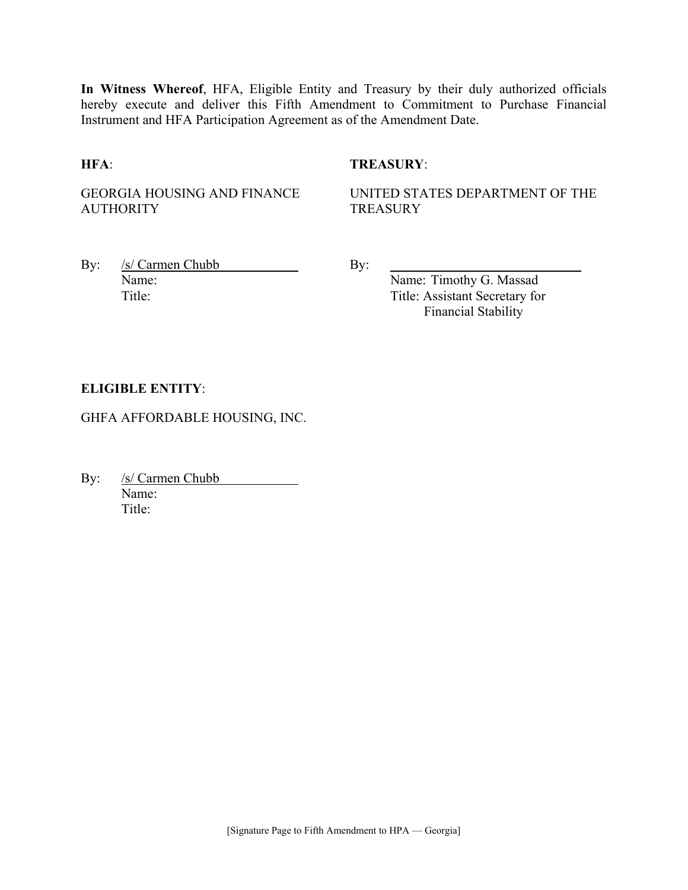**In Witness Whereof**, HFA, Eligible Entity and Treasury by their duly authorized officials hereby execute and deliver this Fifth Amendment to Commitment to Purchase Financial Instrument and HFA Participation Agreement as of the Amendment Date.

#### **HFA**: **TREASURY**:

GEORGIA HOUSING AND FINANCE **AUTHORITY** 

UNITED STATES DEPARTMENT OF THE **TREASURY** 

By: /s/ Carmen Chubb By: Name: Name: Timothy G. Massad

Title: Title: Assistant Secretary for Financial Stability

#### **ELIGIBLE ENTITY**:

GHFA AFFORDABLE HOUSING, INC.

By: /s/ Carmen Chubb Name: Title<sup>.</sup>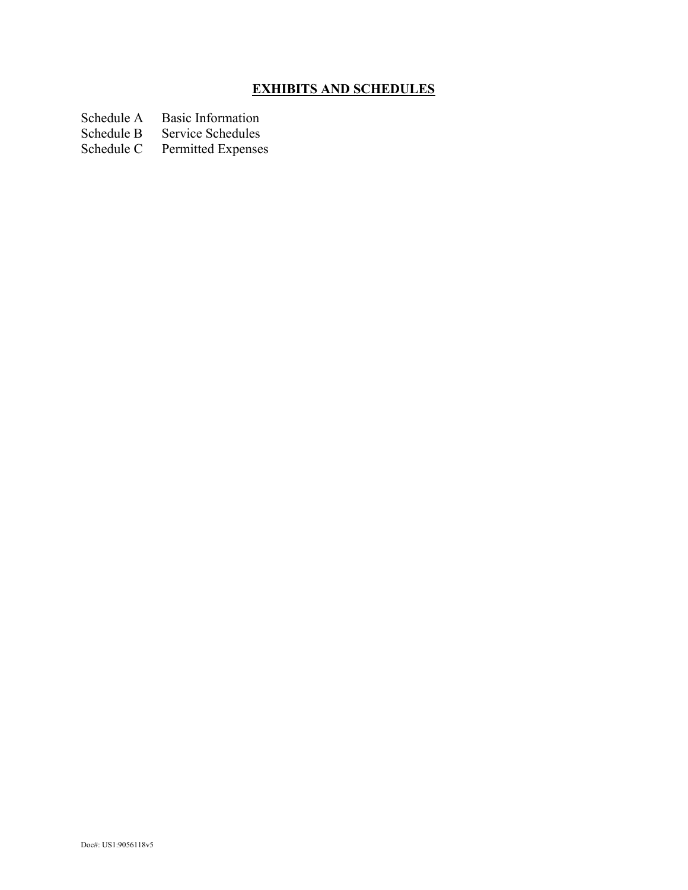# **EXHIBITS AND SCHEDULES**

- Schedule A Basic Information<br>Schedule B Service Schedules
- Schedule B Service Schedules<br>Schedule C Permitted Expenses
- Permitted Expenses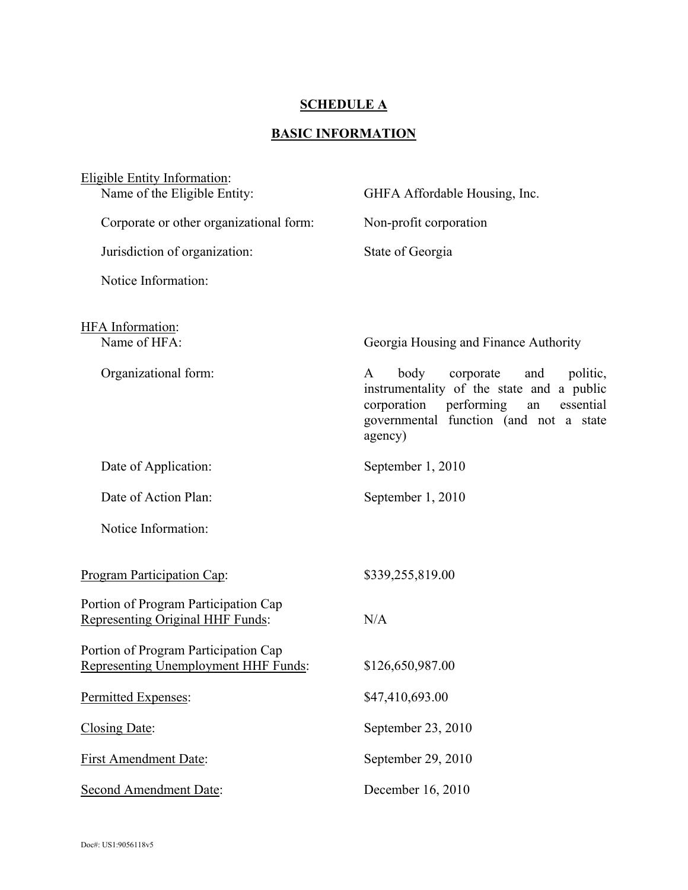#### **SCHEDULE A**

# **BASIC INFORMATION**

| <b>Eligible Entity Information:</b>                                          |                                                                                                                                                                                          |
|------------------------------------------------------------------------------|------------------------------------------------------------------------------------------------------------------------------------------------------------------------------------------|
| Name of the Eligible Entity:                                                 | GHFA Affordable Housing, Inc.                                                                                                                                                            |
| Corporate or other organizational form:                                      | Non-profit corporation                                                                                                                                                                   |
| Jurisdiction of organization:                                                | State of Georgia                                                                                                                                                                         |
| Notice Information:                                                          |                                                                                                                                                                                          |
| HFA Information:                                                             |                                                                                                                                                                                          |
| Name of HFA:                                                                 | Georgia Housing and Finance Authority                                                                                                                                                    |
| Organizational form:                                                         | body<br>corporate<br>and<br>politic,<br>A<br>instrumentality of the state and a public<br>corporation performing<br>essential<br>an<br>governmental function (and not a state<br>agency) |
| Date of Application:                                                         | September 1, 2010                                                                                                                                                                        |
| Date of Action Plan:                                                         | September 1, 2010                                                                                                                                                                        |
| Notice Information:                                                          |                                                                                                                                                                                          |
| <b>Program Participation Cap:</b>                                            | \$339,255,819.00                                                                                                                                                                         |
| Portion of Program Participation Cap<br>Representing Original HHF Funds:     | N/A                                                                                                                                                                                      |
| Portion of Program Participation Cap<br>Representing Unemployment HHF Funds: | \$126,650,987.00                                                                                                                                                                         |
| Permitted Expenses:                                                          | \$47,410,693.00                                                                                                                                                                          |
| Closing Date:                                                                | September 23, 2010                                                                                                                                                                       |
| <b>First Amendment Date:</b>                                                 | September 29, 2010                                                                                                                                                                       |
| Second Amendment Date:                                                       | December 16, 2010                                                                                                                                                                        |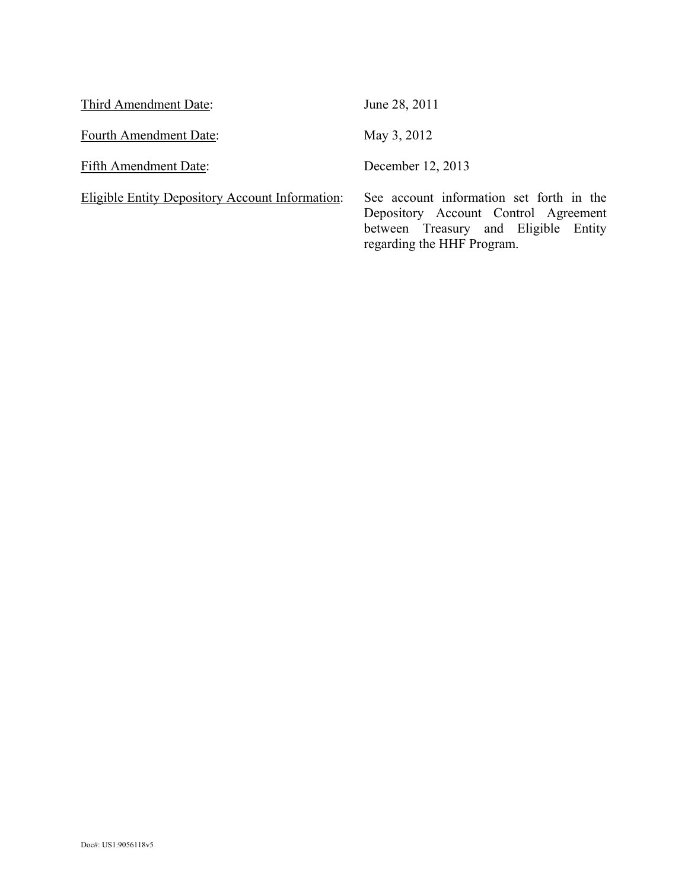| Third Amendment Date:                           | June 28, 2011                                                                                                                                          |
|-------------------------------------------------|--------------------------------------------------------------------------------------------------------------------------------------------------------|
| Fourth Amendment Date:                          | May 3, 2012                                                                                                                                            |
| Fifth Amendment Date:                           | December 12, 2013                                                                                                                                      |
| Eligible Entity Depository Account Information: | See account information set forth in the<br>Depository Account Control Agreement<br>between Treasury and Eligible Entity<br>regarding the HHF Program. |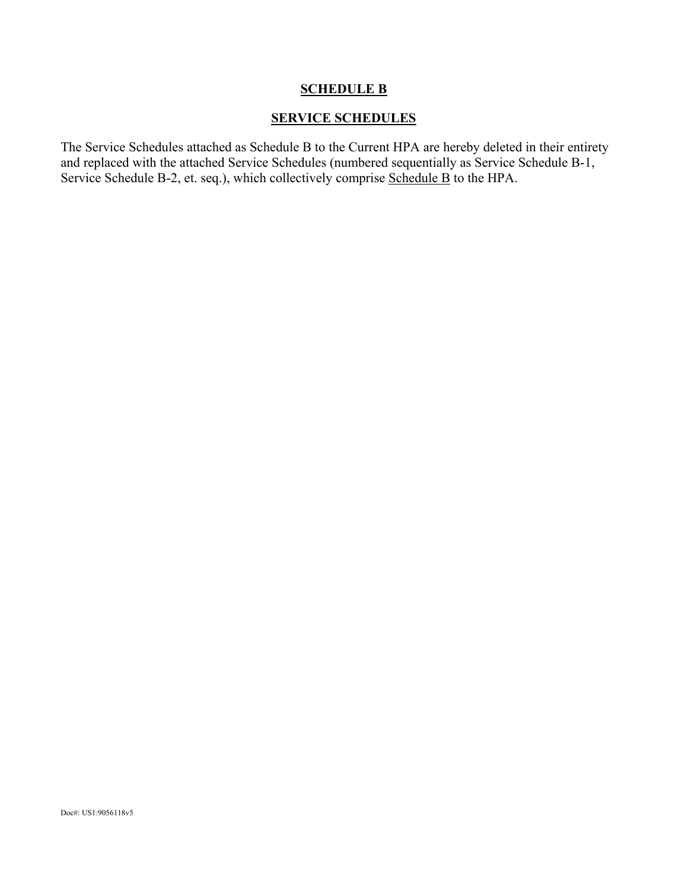#### **SCHEDULE B**

#### **SERVICE SCHEDULES**

The Service Schedules attached as Schedule B to the Current HPA are hereby deleted in their entirety and replaced with the attached Service Schedules (numbered sequentially as Service Schedule B-1, Service Schedule B-2, et. seq.), which collectively comprise Schedule B to the HPA.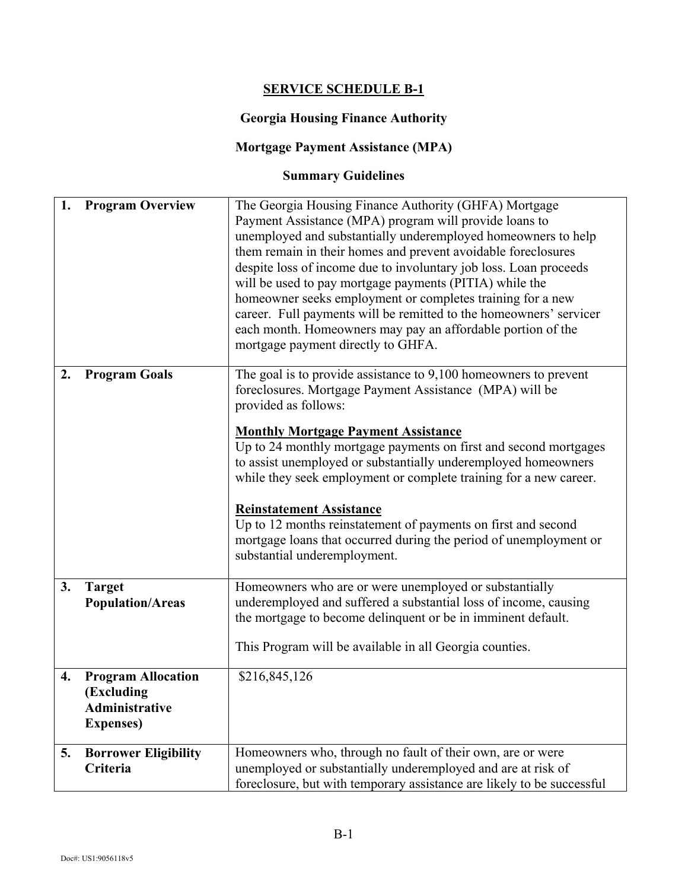## **SERVICE SCHEDULE B-1**

#### **Georgia Housing Finance Authority**

# **Mortgage Payment Assistance (MPA)**

# **Summary Guidelines**

| 1. | <b>Program Overview</b>                                                               | The Georgia Housing Finance Authority (GHFA) Mortgage<br>Payment Assistance (MPA) program will provide loans to<br>unemployed and substantially underemployed homeowners to help<br>them remain in their homes and prevent avoidable foreclosures<br>despite loss of income due to involuntary job loss. Loan proceeds<br>will be used to pay mortgage payments (PITIA) while the<br>homeowner seeks employment or completes training for a new<br>career. Full payments will be remitted to the homeowners' servicer<br>each month. Homeowners may pay an affordable portion of the<br>mortgage payment directly to GHFA. |
|----|---------------------------------------------------------------------------------------|----------------------------------------------------------------------------------------------------------------------------------------------------------------------------------------------------------------------------------------------------------------------------------------------------------------------------------------------------------------------------------------------------------------------------------------------------------------------------------------------------------------------------------------------------------------------------------------------------------------------------|
| 2. | <b>Program Goals</b>                                                                  | The goal is to provide assistance to 9,100 homeowners to prevent<br>foreclosures. Mortgage Payment Assistance (MPA) will be<br>provided as follows:<br><b>Monthly Mortgage Payment Assistance</b><br>Up to 24 monthly mortgage payments on first and second mortgages<br>to assist unemployed or substantially underemployed homeowners<br>while they seek employment or complete training for a new career.                                                                                                                                                                                                               |
|    |                                                                                       | <b>Reinstatement Assistance</b><br>Up to 12 months reinstatement of payments on first and second<br>mortgage loans that occurred during the period of unemployment or<br>substantial underemployment.                                                                                                                                                                                                                                                                                                                                                                                                                      |
| 3. | <b>Target</b><br><b>Population/Areas</b>                                              | Homeowners who are or were unemployed or substantially<br>underemployed and suffered a substantial loss of income, causing<br>the mortgage to become delinquent or be in imminent default.<br>This Program will be available in all Georgia counties.                                                                                                                                                                                                                                                                                                                                                                      |
| 4. | <b>Program Allocation</b><br>(Excluding<br><b>Administrative</b><br><b>Expenses</b> ) | \$216,845,126                                                                                                                                                                                                                                                                                                                                                                                                                                                                                                                                                                                                              |
| 5. | <b>Borrower Eligibility</b><br>Criteria                                               | Homeowners who, through no fault of their own, are or were<br>unemployed or substantially underemployed and are at risk of<br>foreclosure, but with temporary assistance are likely to be successful                                                                                                                                                                                                                                                                                                                                                                                                                       |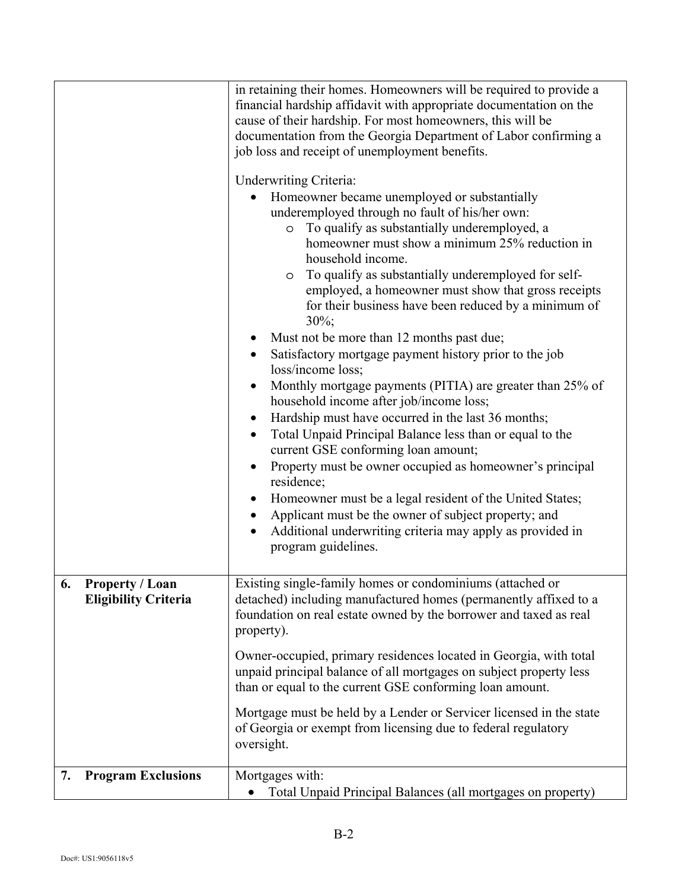|                                                             | in retaining their homes. Homeowners will be required to provide a<br>financial hardship affidavit with appropriate documentation on the<br>cause of their hardship. For most homeowners, this will be<br>documentation from the Georgia Department of Labor confirming a<br>job loss and receipt of unemployment benefits.<br><b>Underwriting Criteria:</b><br>Homeowner became unemployed or substantially<br>underemployed through no fault of his/her own:<br>To qualify as substantially underemployed, a<br>$\circ$<br>homeowner must show a minimum 25% reduction in<br>household income.<br>To qualify as substantially underemployed for self-<br>O<br>employed, a homeowner must show that gross receipts<br>for their business have been reduced by a minimum of<br>$30\%$ ;<br>Must not be more than 12 months past due;<br>Satisfactory mortgage payment history prior to the job<br>loss/income loss;<br>Monthly mortgage payments (PITIA) are greater than 25% of<br>household income after job/income loss;<br>Hardship must have occurred in the last 36 months;<br>Total Unpaid Principal Balance less than or equal to the<br>current GSE conforming loan amount;<br>Property must be owner occupied as homeowner's principal<br>residence;<br>Homeowner must be a legal resident of the United States;<br>Applicant must be the owner of subject property; and<br>Additional underwriting criteria may apply as provided in<br>program guidelines. |
|-------------------------------------------------------------|------------------------------------------------------------------------------------------------------------------------------------------------------------------------------------------------------------------------------------------------------------------------------------------------------------------------------------------------------------------------------------------------------------------------------------------------------------------------------------------------------------------------------------------------------------------------------------------------------------------------------------------------------------------------------------------------------------------------------------------------------------------------------------------------------------------------------------------------------------------------------------------------------------------------------------------------------------------------------------------------------------------------------------------------------------------------------------------------------------------------------------------------------------------------------------------------------------------------------------------------------------------------------------------------------------------------------------------------------------------------------------------------------------------------------------------------------------------------|
| <b>Property / Loan</b><br>6.<br><b>Eligibility Criteria</b> | Existing single-family homes or condominiums (attached or<br>detached) including manufactured homes (permanently affixed to a<br>foundation on real estate owned by the borrower and taxed as real<br>property).<br>Owner-occupied, primary residences located in Georgia, with total<br>unpaid principal balance of all mortgages on subject property less<br>than or equal to the current GSE conforming loan amount.<br>Mortgage must be held by a Lender or Servicer licensed in the state<br>of Georgia or exempt from licensing due to federal regulatory<br>oversight.                                                                                                                                                                                                                                                                                                                                                                                                                                                                                                                                                                                                                                                                                                                                                                                                                                                                                          |
| <b>Program Exclusions</b><br>7.                             | Mortgages with:<br>Total Unpaid Principal Balances (all mortgages on property)                                                                                                                                                                                                                                                                                                                                                                                                                                                                                                                                                                                                                                                                                                                                                                                                                                                                                                                                                                                                                                                                                                                                                                                                                                                                                                                                                                                         |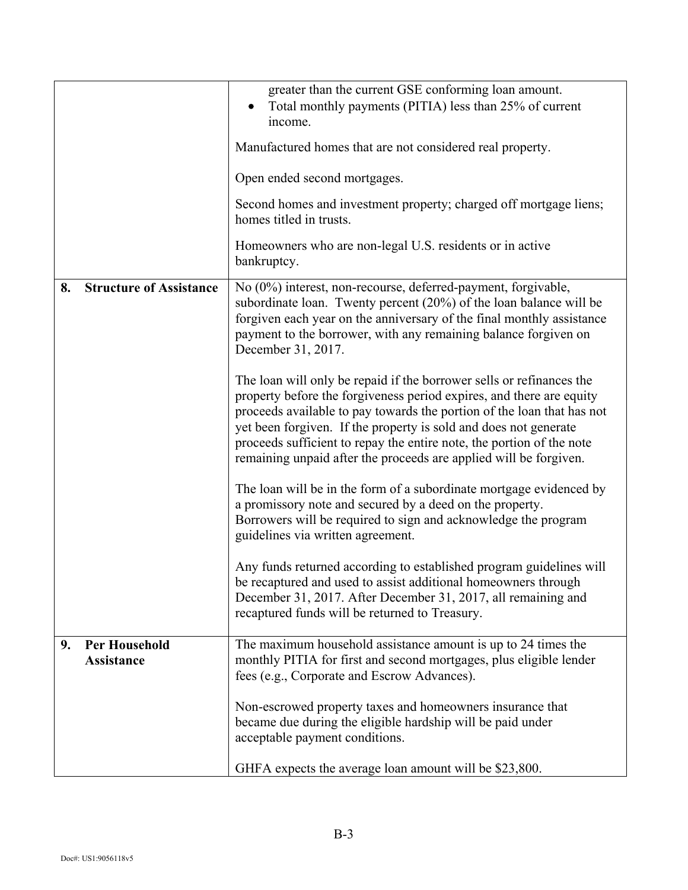|    |                                           | greater than the current GSE conforming loan amount.<br>Total monthly payments (PITIA) less than 25% of current                                                                                                                                                                                                                                                                                                                          |
|----|-------------------------------------------|------------------------------------------------------------------------------------------------------------------------------------------------------------------------------------------------------------------------------------------------------------------------------------------------------------------------------------------------------------------------------------------------------------------------------------------|
|    |                                           | income.                                                                                                                                                                                                                                                                                                                                                                                                                                  |
|    |                                           | Manufactured homes that are not considered real property.                                                                                                                                                                                                                                                                                                                                                                                |
|    |                                           | Open ended second mortgages.                                                                                                                                                                                                                                                                                                                                                                                                             |
|    |                                           | Second homes and investment property; charged off mortgage liens;<br>homes titled in trusts.                                                                                                                                                                                                                                                                                                                                             |
|    |                                           | Homeowners who are non-legal U.S. residents or in active<br>bankruptcy.                                                                                                                                                                                                                                                                                                                                                                  |
| 8. | <b>Structure of Assistance</b>            | No (0%) interest, non-recourse, deferred-payment, forgivable,<br>subordinate loan. Twenty percent $(20\%)$ of the loan balance will be<br>forgiven each year on the anniversary of the final monthly assistance<br>payment to the borrower, with any remaining balance forgiven on<br>December 31, 2017.                                                                                                                                 |
|    |                                           | The loan will only be repaid if the borrower sells or refinances the<br>property before the forgiveness period expires, and there are equity<br>proceeds available to pay towards the portion of the loan that has not<br>yet been forgiven. If the property is sold and does not generate<br>proceeds sufficient to repay the entire note, the portion of the note<br>remaining unpaid after the proceeds are applied will be forgiven. |
|    |                                           | The loan will be in the form of a subordinate mortgage evidenced by<br>a promissory note and secured by a deed on the property.<br>Borrowers will be required to sign and acknowledge the program<br>guidelines via written agreement.                                                                                                                                                                                                   |
|    |                                           | Any funds returned according to established program guidelines will<br>be recaptured and used to assist additional homeowners through<br>December 31, 2017. After December 31, 2017, all remaining and<br>recaptured funds will be returned to Treasury.                                                                                                                                                                                 |
| 9. | <b>Per Household</b><br><b>Assistance</b> | The maximum household assistance amount is up to 24 times the<br>monthly PITIA for first and second mortgages, plus eligible lender<br>fees (e.g., Corporate and Escrow Advances).                                                                                                                                                                                                                                                       |
|    |                                           | Non-escrowed property taxes and homeowners insurance that<br>became due during the eligible hardship will be paid under<br>acceptable payment conditions.                                                                                                                                                                                                                                                                                |
|    |                                           | GHFA expects the average loan amount will be \$23,800.                                                                                                                                                                                                                                                                                                                                                                                   |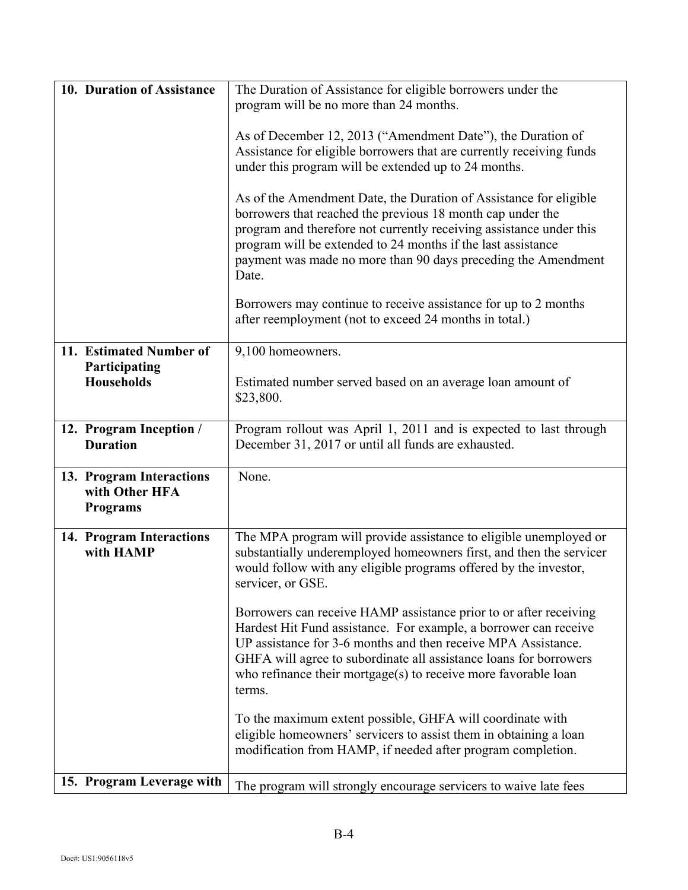| 10. Duration of Assistance                                    | The Duration of Assistance for eligible borrowers under the                                                                                                                                                                                                                                                                                                                                                                                                           |
|---------------------------------------------------------------|-----------------------------------------------------------------------------------------------------------------------------------------------------------------------------------------------------------------------------------------------------------------------------------------------------------------------------------------------------------------------------------------------------------------------------------------------------------------------|
|                                                               | program will be no more than 24 months.                                                                                                                                                                                                                                                                                                                                                                                                                               |
|                                                               | As of December 12, 2013 ("Amendment Date"), the Duration of<br>Assistance for eligible borrowers that are currently receiving funds<br>under this program will be extended up to 24 months.<br>As of the Amendment Date, the Duration of Assistance for eligible<br>borrowers that reached the previous 18 month cap under the<br>program and therefore not currently receiving assistance under this<br>program will be extended to 24 months if the last assistance |
|                                                               | payment was made no more than 90 days preceding the Amendment<br>Date.                                                                                                                                                                                                                                                                                                                                                                                                |
|                                                               | Borrowers may continue to receive assistance for up to 2 months<br>after reemployment (not to exceed 24 months in total.)                                                                                                                                                                                                                                                                                                                                             |
| 11. Estimated Number of                                       | 9,100 homeowners.                                                                                                                                                                                                                                                                                                                                                                                                                                                     |
| Participating<br><b>Households</b>                            | Estimated number served based on an average loan amount of<br>\$23,800.                                                                                                                                                                                                                                                                                                                                                                                               |
| 12. Program Inception /                                       | Program rollout was April 1, 2011 and is expected to last through                                                                                                                                                                                                                                                                                                                                                                                                     |
| <b>Duration</b>                                               | December 31, 2017 or until all funds are exhausted.                                                                                                                                                                                                                                                                                                                                                                                                                   |
| 13. Program Interactions<br>with Other HFA<br><b>Programs</b> | None.                                                                                                                                                                                                                                                                                                                                                                                                                                                                 |
| 14. Program Interactions<br>with HAMP                         | The MPA program will provide assistance to eligible unemployed or<br>substantially underemployed homeowners first, and then the servicer<br>would follow with any eligible programs offered by the investor,<br>servicer, or GSE.                                                                                                                                                                                                                                     |
|                                                               | Borrowers can receive HAMP assistance prior to or after receiving<br>Hardest Hit Fund assistance. For example, a borrower can receive<br>UP assistance for 3-6 months and then receive MPA Assistance.<br>GHFA will agree to subordinate all assistance loans for borrowers<br>who refinance their mortgage $(s)$ to receive more favorable loan<br>terms.                                                                                                            |
|                                                               | To the maximum extent possible, GHFA will coordinate with<br>eligible homeowners' servicers to assist them in obtaining a loan<br>modification from HAMP, if needed after program completion.                                                                                                                                                                                                                                                                         |
| 15. Program Leverage with                                     | The program will strongly encourage servicers to waive late fees                                                                                                                                                                                                                                                                                                                                                                                                      |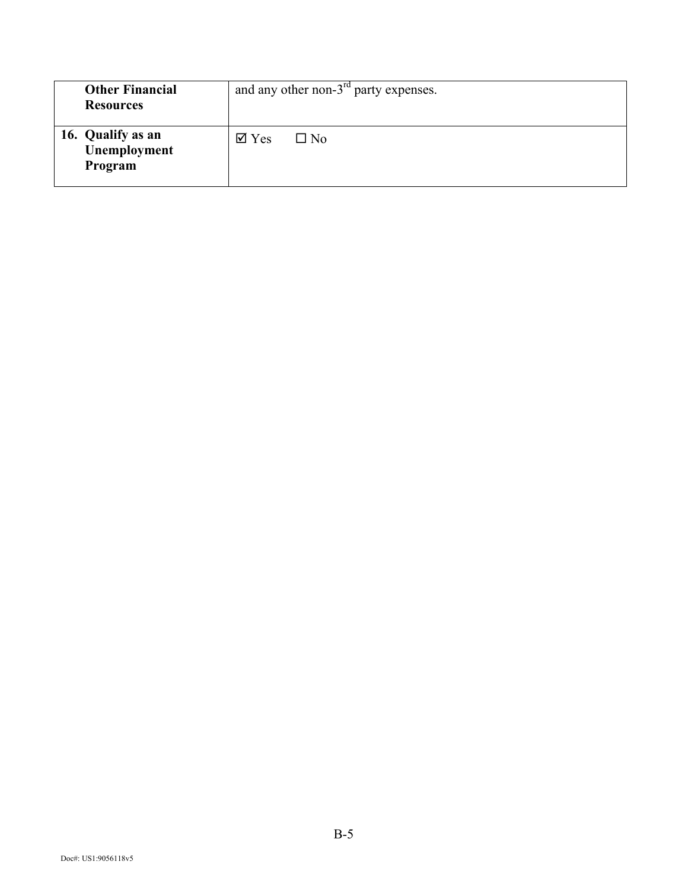| <b>Other Financial</b><br><b>Resources</b>   | and any other non- $3rd$ party expenses.    |
|----------------------------------------------|---------------------------------------------|
| 16. Qualify as an<br>Unemployment<br>Program | $\overline{\mathsf{M}}$ Yes<br>$\square$ No |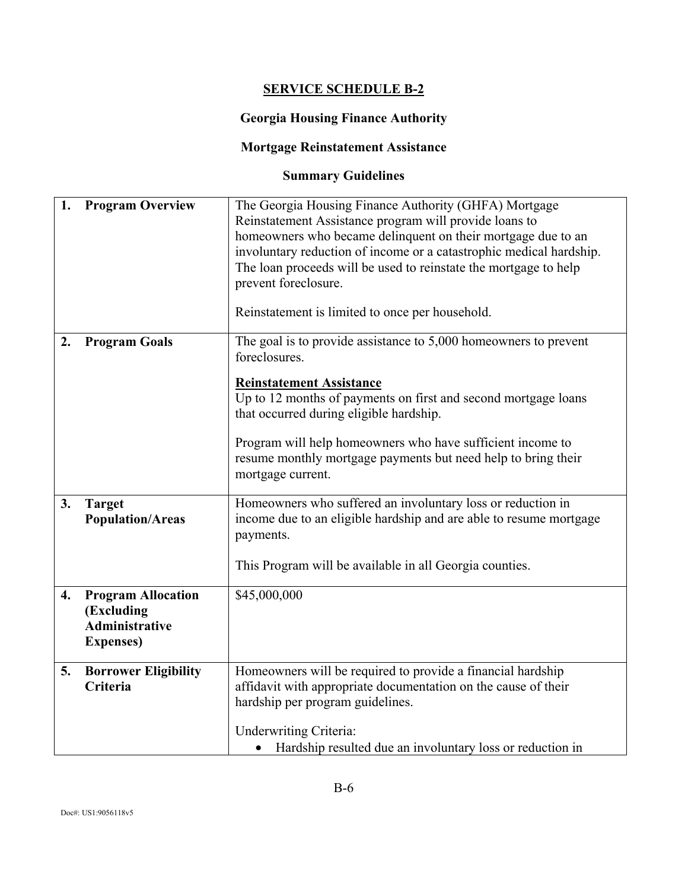# **SERVICE SCHEDULE B-2**

### **Georgia Housing Finance Authority**

# **Mortgage Reinstatement Assistance**

# **Summary Guidelines**

| 1. | <b>Program Overview</b>                                                               | The Georgia Housing Finance Authority (GHFA) Mortgage<br>Reinstatement Assistance program will provide loans to<br>homeowners who became delinquent on their mortgage due to an<br>involuntary reduction of income or a catastrophic medical hardship.<br>The loan proceeds will be used to reinstate the mortgage to help<br>prevent foreclosure.<br>Reinstatement is limited to once per household. |
|----|---------------------------------------------------------------------------------------|-------------------------------------------------------------------------------------------------------------------------------------------------------------------------------------------------------------------------------------------------------------------------------------------------------------------------------------------------------------------------------------------------------|
| 2. | <b>Program Goals</b>                                                                  | The goal is to provide assistance to $5,000$ homeowners to prevent<br>foreclosures.<br><b>Reinstatement Assistance</b><br>Up to 12 months of payments on first and second mortgage loans<br>that occurred during eligible hardship.<br>Program will help homeowners who have sufficient income to<br>resume monthly mortgage payments but need help to bring their<br>mortgage current.               |
| 3. | <b>Target</b><br><b>Population/Areas</b>                                              | Homeowners who suffered an involuntary loss or reduction in<br>income due to an eligible hardship and are able to resume mortgage<br>payments.<br>This Program will be available in all Georgia counties.                                                                                                                                                                                             |
| 4. | <b>Program Allocation</b><br>(Excluding<br><b>Administrative</b><br><b>Expenses</b> ) | \$45,000,000                                                                                                                                                                                                                                                                                                                                                                                          |
| 5. | <b>Borrower Eligibility</b><br>Criteria                                               | Homeowners will be required to provide a financial hardship<br>affidavit with appropriate documentation on the cause of their<br>hardship per program guidelines.<br><b>Underwriting Criteria:</b><br>Hardship resulted due an involuntary loss or reduction in                                                                                                                                       |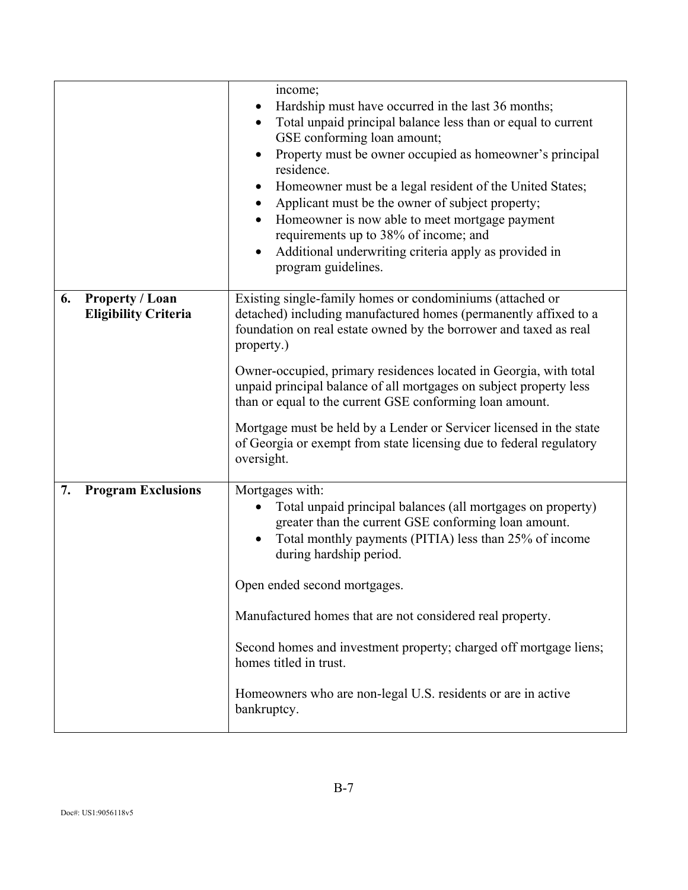|    |                                                       | income;<br>Hardship must have occurred in the last 36 months;<br>Total unpaid principal balance less than or equal to current<br>$\bullet$<br>GSE conforming loan amount;<br>Property must be owner occupied as homeowner's principal<br>residence.<br>Homeowner must be a legal resident of the United States;<br>$\bullet$<br>Applicant must be the owner of subject property;<br>$\bullet$<br>Homeowner is now able to meet mortgage payment<br>$\bullet$<br>requirements up to 38% of income; and<br>Additional underwriting criteria apply as provided in<br>$\bullet$<br>program guidelines. |
|----|-------------------------------------------------------|----------------------------------------------------------------------------------------------------------------------------------------------------------------------------------------------------------------------------------------------------------------------------------------------------------------------------------------------------------------------------------------------------------------------------------------------------------------------------------------------------------------------------------------------------------------------------------------------------|
| 6. | <b>Property / Loan</b><br><b>Eligibility Criteria</b> | Existing single-family homes or condominiums (attached or<br>detached) including manufactured homes (permanently affixed to a<br>foundation on real estate owned by the borrower and taxed as real<br>property.)<br>Owner-occupied, primary residences located in Georgia, with total<br>unpaid principal balance of all mortgages on subject property less<br>than or equal to the current GSE conforming loan amount.<br>Mortgage must be held by a Lender or Servicer licensed in the state<br>of Georgia or exempt from state licensing due to federal regulatory<br>oversight.                |
| 7. | <b>Program Exclusions</b>                             | Mortgages with:<br>Total unpaid principal balances (all mortgages on property)<br>greater than the current GSE conforming loan amount.<br>Total monthly payments (PITIA) less than 25% of income<br>during hardship period.<br>Open ended second mortgages.<br>Manufactured homes that are not considered real property.<br>Second homes and investment property; charged off mortgage liens;<br>homes titled in trust.<br>Homeowners who are non-legal U.S. residents or are in active<br>bankruptcy.                                                                                             |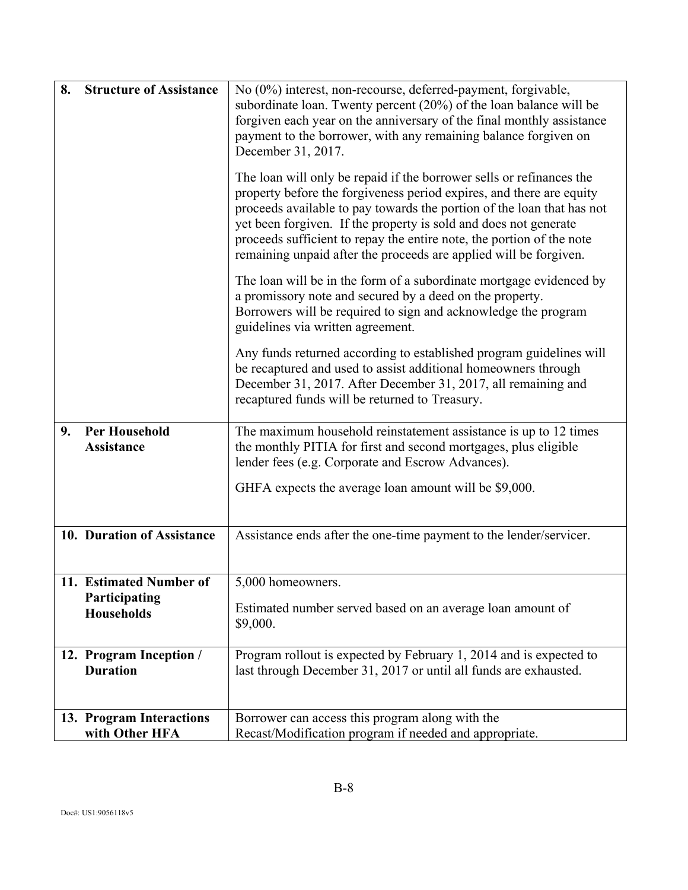| 8. | <b>Structure of Assistance</b>                                | No (0%) interest, non-recourse, deferred-payment, forgivable,<br>subordinate loan. Twenty percent (20%) of the loan balance will be<br>forgiven each year on the anniversary of the final monthly assistance<br>payment to the borrower, with any remaining balance forgiven on<br>December 31, 2017.                                                                                                                                    |
|----|---------------------------------------------------------------|------------------------------------------------------------------------------------------------------------------------------------------------------------------------------------------------------------------------------------------------------------------------------------------------------------------------------------------------------------------------------------------------------------------------------------------|
|    |                                                               | The loan will only be repaid if the borrower sells or refinances the<br>property before the forgiveness period expires, and there are equity<br>proceeds available to pay towards the portion of the loan that has not<br>yet been forgiven. If the property is sold and does not generate<br>proceeds sufficient to repay the entire note, the portion of the note<br>remaining unpaid after the proceeds are applied will be forgiven. |
|    |                                                               | The loan will be in the form of a subordinate mortgage evidenced by<br>a promissory note and secured by a deed on the property.<br>Borrowers will be required to sign and acknowledge the program<br>guidelines via written agreement.                                                                                                                                                                                                   |
|    |                                                               | Any funds returned according to established program guidelines will<br>be recaptured and used to assist additional homeowners through<br>December 31, 2017. After December 31, 2017, all remaining and<br>recaptured funds will be returned to Treasury.                                                                                                                                                                                 |
| 9. | <b>Per Household</b><br><b>Assistance</b>                     | The maximum household reinstatement assistance is up to 12 times<br>the monthly PITIA for first and second mortgages, plus eligible<br>lender fees (e.g. Corporate and Escrow Advances).                                                                                                                                                                                                                                                 |
|    |                                                               | GHFA expects the average loan amount will be \$9,000.                                                                                                                                                                                                                                                                                                                                                                                    |
|    | 10. Duration of Assistance                                    | Assistance ends after the one-time payment to the lender/servicer.                                                                                                                                                                                                                                                                                                                                                                       |
|    | 11. Estimated Number of<br>Participating<br><b>Households</b> | 5,000 homeowners.<br>Estimated number served based on an average loan amount of<br>\$9,000.                                                                                                                                                                                                                                                                                                                                              |
|    | 12. Program Inception /<br><b>Duration</b>                    | Program rollout is expected by February 1, 2014 and is expected to<br>last through December 31, 2017 or until all funds are exhausted.                                                                                                                                                                                                                                                                                                   |
|    | 13. Program Interactions<br>with Other HFA                    | Borrower can access this program along with the<br>Recast/Modification program if needed and appropriate.                                                                                                                                                                                                                                                                                                                                |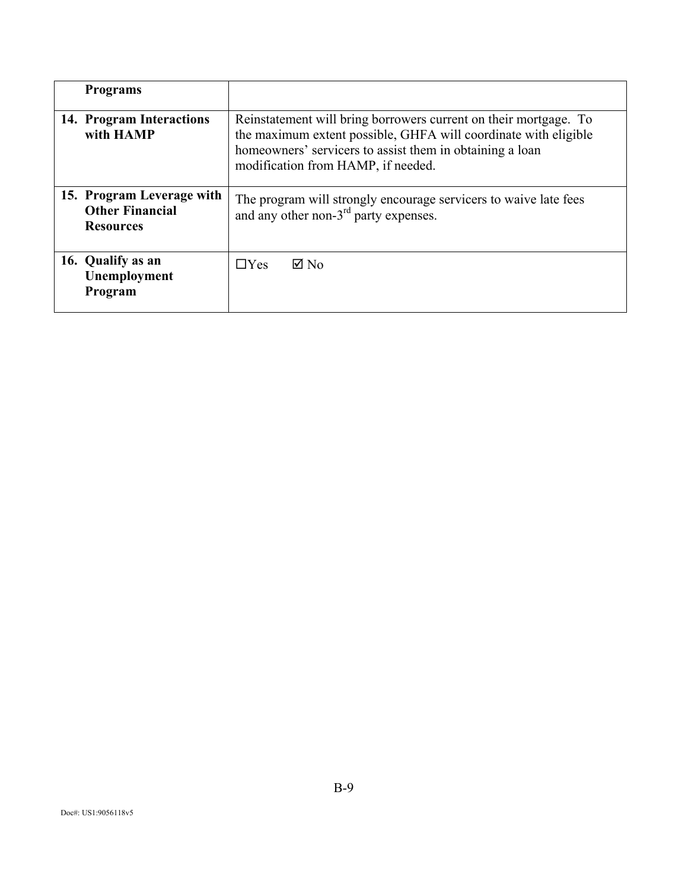| <b>Programs</b>                                                         |                                                                                                                                                                                                                                       |
|-------------------------------------------------------------------------|---------------------------------------------------------------------------------------------------------------------------------------------------------------------------------------------------------------------------------------|
| 14. Program Interactions<br>with HAMP                                   | Reinstatement will bring borrowers current on their mortgage. To<br>the maximum extent possible, GHFA will coordinate with eligible<br>homeowners' servicers to assist them in obtaining a loan<br>modification from HAMP, if needed. |
| 15. Program Leverage with<br><b>Other Financial</b><br><b>Resources</b> | The program will strongly encourage servicers to waive late fees<br>and any other non- $3rd$ party expenses.                                                                                                                          |
| 16. Qualify as an<br>Unemployment<br>Program                            | $\boxtimes$ No<br>$\Box$ Yes                                                                                                                                                                                                          |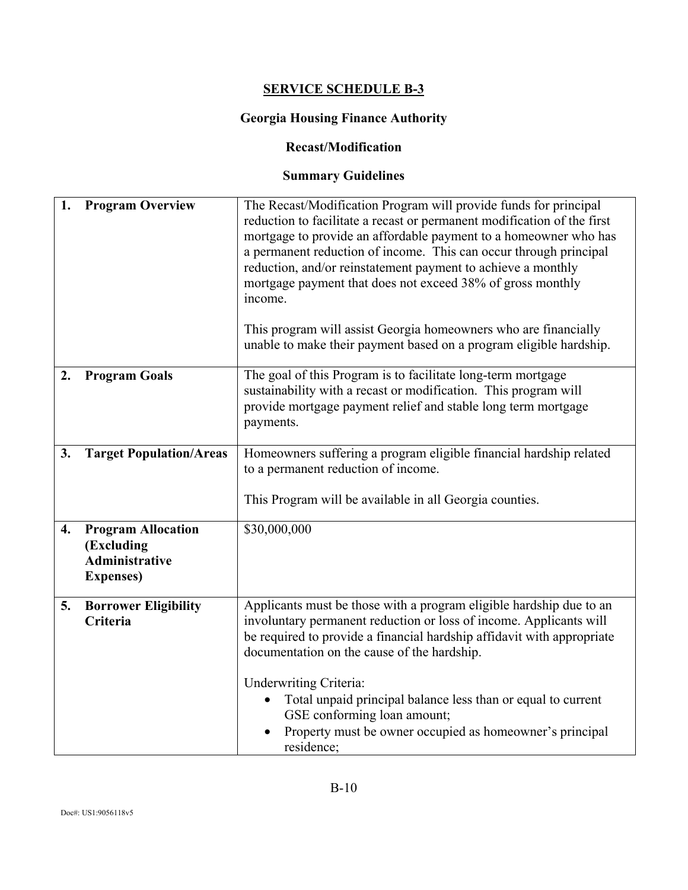# **SERVICE SCHEDULE B-3**

# **Georgia Housing Finance Authority**

#### **Recast/Modification**

# **Summary Guidelines**

| 1. | <b>Program Overview</b>                                                               | The Recast/Modification Program will provide funds for principal<br>reduction to facilitate a recast or permanent modification of the first<br>mortgage to provide an affordable payment to a homeowner who has<br>a permanent reduction of income. This can occur through principal<br>reduction, and/or reinstatement payment to achieve a monthly<br>mortgage payment that does not exceed 38% of gross monthly<br>income.<br>This program will assist Georgia homeowners who are financially<br>unable to make their payment based on a program eligible hardship. |
|----|---------------------------------------------------------------------------------------|------------------------------------------------------------------------------------------------------------------------------------------------------------------------------------------------------------------------------------------------------------------------------------------------------------------------------------------------------------------------------------------------------------------------------------------------------------------------------------------------------------------------------------------------------------------------|
| 2. | <b>Program Goals</b>                                                                  | The goal of this Program is to facilitate long-term mortgage<br>sustainability with a recast or modification. This program will<br>provide mortgage payment relief and stable long term mortgage<br>payments.                                                                                                                                                                                                                                                                                                                                                          |
| 3. | <b>Target Population/Areas</b>                                                        | Homeowners suffering a program eligible financial hardship related<br>to a permanent reduction of income.<br>This Program will be available in all Georgia counties.                                                                                                                                                                                                                                                                                                                                                                                                   |
| 4. | <b>Program Allocation</b><br>(Excluding<br><b>Administrative</b><br><b>Expenses</b> ) | \$30,000,000                                                                                                                                                                                                                                                                                                                                                                                                                                                                                                                                                           |
| 5. | <b>Borrower Eligibility</b><br>Criteria                                               | Applicants must be those with a program eligible hardship due to an<br>involuntary permanent reduction or loss of income. Applicants will<br>be required to provide a financial hardship affidavit with appropriate<br>documentation on the cause of the hardship.<br><b>Underwriting Criteria:</b>                                                                                                                                                                                                                                                                    |
|    |                                                                                       | Total unpaid principal balance less than or equal to current<br>GSE conforming loan amount;<br>Property must be owner occupied as homeowner's principal<br>residence;                                                                                                                                                                                                                                                                                                                                                                                                  |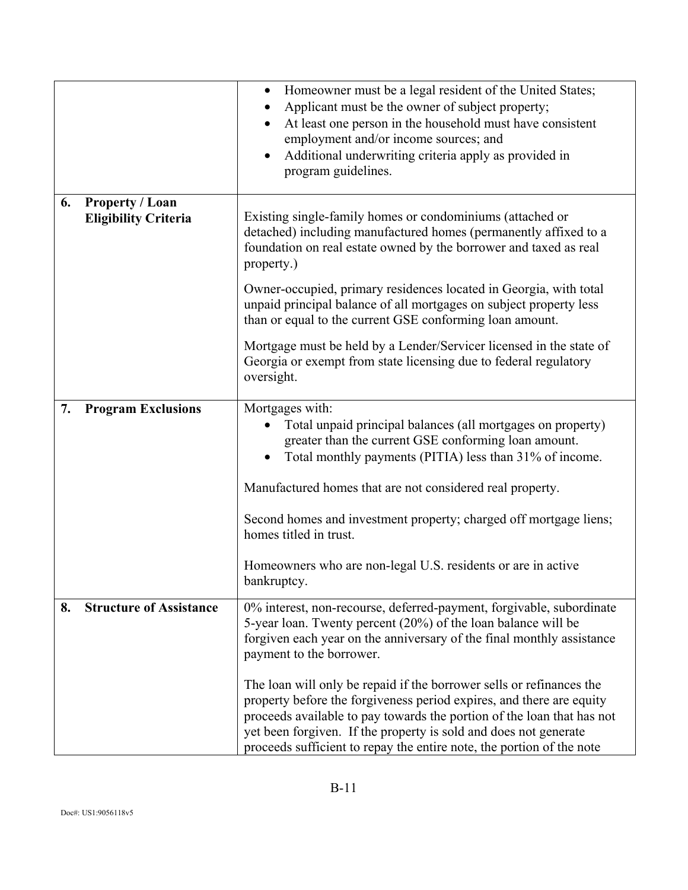|    |                                                       | Homeowner must be a legal resident of the United States;<br>$\bullet$<br>Applicant must be the owner of subject property;<br>At least one person in the household must have consistent<br>$\bullet$<br>employment and/or income sources; and<br>Additional underwriting criteria apply as provided in<br>$\bullet$<br>program guidelines.                           |  |
|----|-------------------------------------------------------|---------------------------------------------------------------------------------------------------------------------------------------------------------------------------------------------------------------------------------------------------------------------------------------------------------------------------------------------------------------------|--|
| 6. | <b>Property / Loan</b><br><b>Eligibility Criteria</b> | Existing single-family homes or condominiums (attached or<br>detached) including manufactured homes (permanently affixed to a<br>foundation on real estate owned by the borrower and taxed as real<br>property.)                                                                                                                                                    |  |
|    |                                                       | Owner-occupied, primary residences located in Georgia, with total<br>unpaid principal balance of all mortgages on subject property less<br>than or equal to the current GSE conforming loan amount.                                                                                                                                                                 |  |
|    |                                                       | Mortgage must be held by a Lender/Servicer licensed in the state of<br>Georgia or exempt from state licensing due to federal regulatory<br>oversight.                                                                                                                                                                                                               |  |
| 7. | <b>Program Exclusions</b>                             | Mortgages with:<br>Total unpaid principal balances (all mortgages on property)<br>greater than the current GSE conforming loan amount.<br>Total monthly payments (PITIA) less than 31% of income.                                                                                                                                                                   |  |
|    |                                                       | Manufactured homes that are not considered real property.                                                                                                                                                                                                                                                                                                           |  |
|    |                                                       | Second homes and investment property; charged off mortgage liens;<br>homes titled in trust.                                                                                                                                                                                                                                                                         |  |
|    |                                                       | Homeowners who are non-legal U.S. residents or are in active<br>bankruptcy.                                                                                                                                                                                                                                                                                         |  |
| 8. | <b>Structure of Assistance</b>                        | 0% interest, non-recourse, deferred-payment, forgivable, subordinate<br>5-year loan. Twenty percent (20%) of the loan balance will be<br>forgiven each year on the anniversary of the final monthly assistance<br>payment to the borrower.                                                                                                                          |  |
|    |                                                       | The loan will only be repaid if the borrower sells or refinances the<br>property before the forgiveness period expires, and there are equity<br>proceeds available to pay towards the portion of the loan that has not<br>yet been forgiven. If the property is sold and does not generate<br>proceeds sufficient to repay the entire note, the portion of the note |  |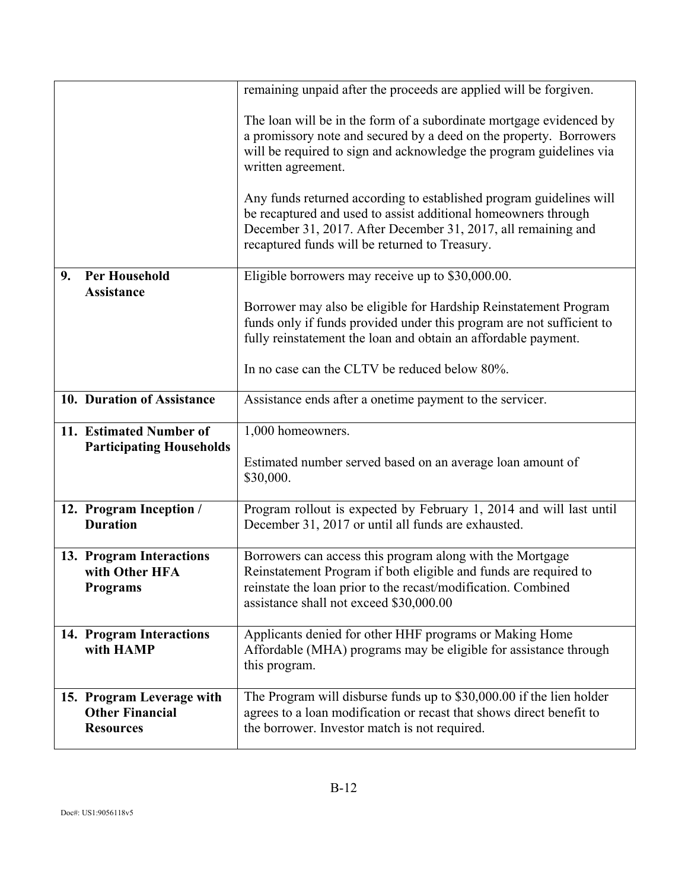|                                                                         | remaining unpaid after the proceeds are applied will be forgiven.                                                                                                                                                                                        |  |
|-------------------------------------------------------------------------|----------------------------------------------------------------------------------------------------------------------------------------------------------------------------------------------------------------------------------------------------------|--|
|                                                                         | The loan will be in the form of a subordinate mortgage evidenced by<br>a promissory note and secured by a deed on the property. Borrowers<br>will be required to sign and acknowledge the program guidelines via<br>written agreement.                   |  |
|                                                                         | Any funds returned according to established program guidelines will<br>be recaptured and used to assist additional homeowners through<br>December 31, 2017. After December 31, 2017, all remaining and<br>recaptured funds will be returned to Treasury. |  |
| <b>Per Household</b><br>9.<br><b>Assistance</b>                         | Eligible borrowers may receive up to \$30,000.00.                                                                                                                                                                                                        |  |
|                                                                         | Borrower may also be eligible for Hardship Reinstatement Program<br>funds only if funds provided under this program are not sufficient to<br>fully reinstatement the loan and obtain an affordable payment.                                              |  |
|                                                                         | In no case can the CLTV be reduced below 80%.                                                                                                                                                                                                            |  |
| 10. Duration of Assistance                                              | Assistance ends after a onetime payment to the servicer.                                                                                                                                                                                                 |  |
| 11. Estimated Number of<br><b>Participating Households</b>              | 1,000 homeowners.                                                                                                                                                                                                                                        |  |
|                                                                         | Estimated number served based on an average loan amount of<br>\$30,000.                                                                                                                                                                                  |  |
| 12. Program Inception /<br><b>Duration</b>                              | Program rollout is expected by February 1, 2014 and will last until<br>December 31, 2017 or until all funds are exhausted.                                                                                                                               |  |
| 13. Program Interactions<br>with Other HFA<br><b>Programs</b>           | Borrowers can access this program along with the Mortgage<br>Reinstatement Program if both eligible and funds are required to<br>reinstate the loan prior to the recast/modification. Combined<br>assistance shall not exceed \$30,000.00                |  |
| 14. Program Interactions<br>with HAMP                                   | Applicants denied for other HHF programs or Making Home<br>Affordable (MHA) programs may be eligible for assistance through<br>this program.                                                                                                             |  |
| 15. Program Leverage with<br><b>Other Financial</b><br><b>Resources</b> | The Program will disburse funds up to \$30,000.00 if the lien holder<br>agrees to a loan modification or recast that shows direct benefit to<br>the borrower. Investor match is not required.                                                            |  |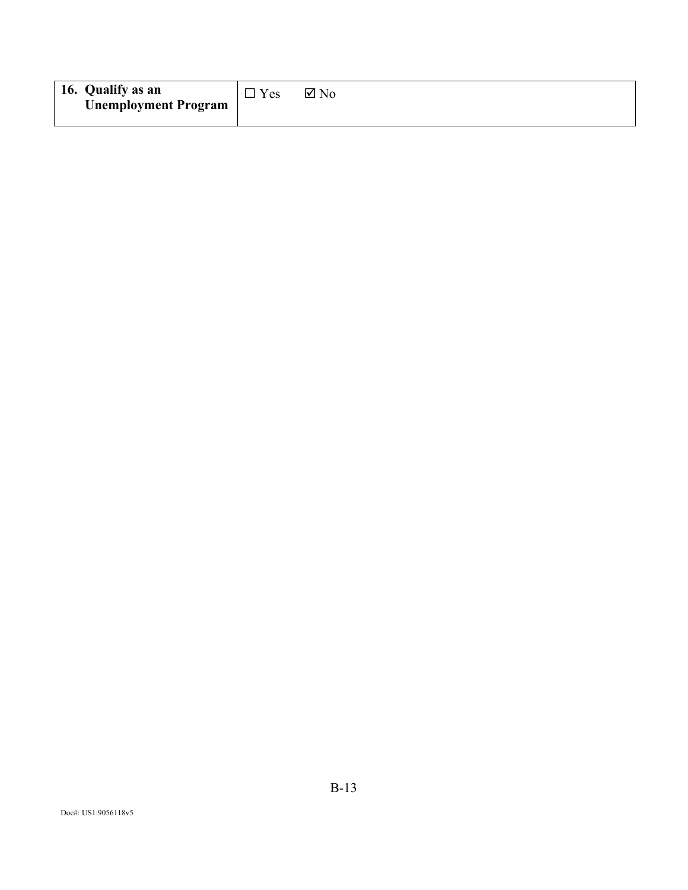| 16. Qualify as an           | $\Box$ Yes | $\boxtimes$ No |
|-----------------------------|------------|----------------|
| <b>Unemployment Program</b> |            |                |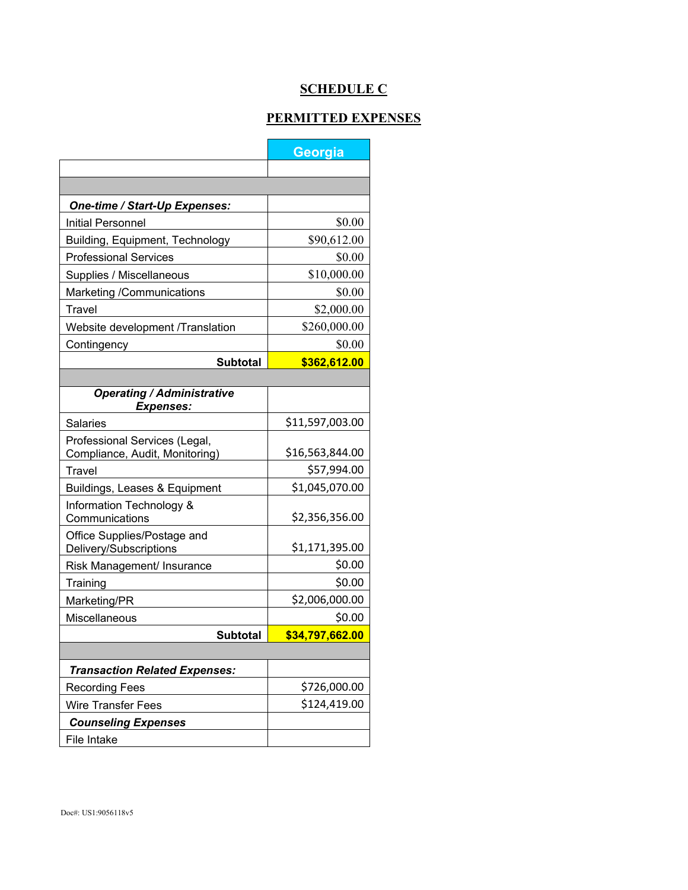# **SCHEDULE C**

#### **PERMITTED EXPENSES**

|                                                                 | Georgia         |  |  |  |  |  |
|-----------------------------------------------------------------|-----------------|--|--|--|--|--|
|                                                                 |                 |  |  |  |  |  |
|                                                                 |                 |  |  |  |  |  |
| One-time / Start-Up Expenses:                                   |                 |  |  |  |  |  |
| <b>Initial Personnel</b>                                        | \$0.00          |  |  |  |  |  |
| Building, Equipment, Technology                                 | \$90,612.00     |  |  |  |  |  |
| <b>Professional Services</b>                                    | \$0.00          |  |  |  |  |  |
| Supplies / Miscellaneous                                        | \$10,000.00     |  |  |  |  |  |
| Marketing /Communications                                       | \$0.00          |  |  |  |  |  |
| Travel                                                          | \$2,000.00      |  |  |  |  |  |
| Website development /Translation                                | \$260,000.00    |  |  |  |  |  |
| Contingency                                                     | \$0.00          |  |  |  |  |  |
| <b>Subtotal</b>                                                 | \$362,612.00    |  |  |  |  |  |
|                                                                 |                 |  |  |  |  |  |
| <b>Operating / Administrative</b><br><b>Expenses:</b>           |                 |  |  |  |  |  |
| Salaries                                                        | \$11,597,003.00 |  |  |  |  |  |
| Professional Services (Legal,<br>Compliance, Audit, Monitoring) | \$16,563,844.00 |  |  |  |  |  |
| <b>Travel</b>                                                   | \$57,994.00     |  |  |  |  |  |
| Buildings, Leases & Equipment                                   | \$1,045,070.00  |  |  |  |  |  |
| Information Technology &<br>Communications                      | \$2,356,356.00  |  |  |  |  |  |
| Office Supplies/Postage and<br>Delivery/Subscriptions           | \$1,171,395.00  |  |  |  |  |  |
| Risk Management/ Insurance                                      | \$0.00          |  |  |  |  |  |
| Training                                                        | \$0.00          |  |  |  |  |  |
| Marketing/PR                                                    | \$2,006,000.00  |  |  |  |  |  |
| Miscellaneous                                                   | \$0.00          |  |  |  |  |  |
| <b>Subtotal</b>                                                 | \$34,797,662.00 |  |  |  |  |  |
|                                                                 |                 |  |  |  |  |  |
| <b>Transaction Related Expenses:</b>                            |                 |  |  |  |  |  |
| <b>Recording Fees</b>                                           | \$726,000.00    |  |  |  |  |  |
| Wire Transfer Fees                                              | \$124,419.00    |  |  |  |  |  |
| <b>Counseling Expenses</b>                                      |                 |  |  |  |  |  |
| File Intake                                                     |                 |  |  |  |  |  |